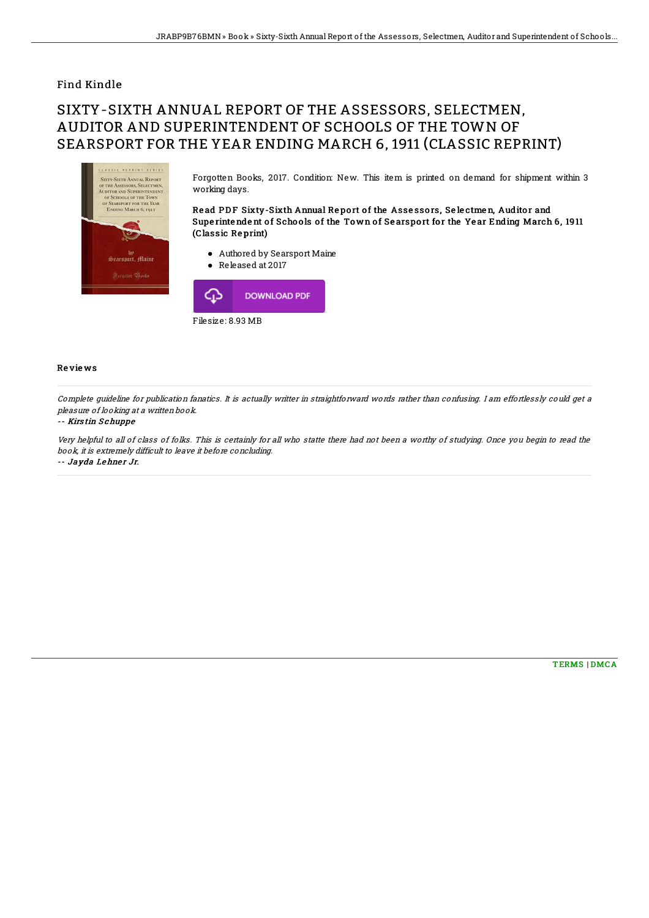## Find Kindle

# SIXTY-SIXTH ANNUAL REPORT OF THE ASSESSORS, SELECTMEN, AUDITOR AND SUPERINTENDENT OF SCHOOLS OF THE TOWN OF SEARSPORT FOR THE YEAR ENDING MARCH 6, 1911 (CLASSIC REPRINT)



Forgotten Books, 2017. Condition: New. This item is printed on demand for shipment within 3 working days.

Read PDF Sixty-Sixth Annual Report of the Assessors, Selectmen, Auditor and Supe rintendent of Schools of the Town of Searsport for the Year Ending March 6, 1911 (Classic Re print)

- Authored by Searsport Maine
- Released at 2017



### Re vie ws

Complete guideline for publication fanatics. It is actually writter in straightforward words rather than confusing. I am effortlessly could get <sup>a</sup> pleasure of looking at <sup>a</sup> written book.

#### -- Kirs tin S chuppe

Very helpful to all of class of folks. This is certainly for all who statte there had not been <sup>a</sup> worthy of studying. Once you begin to read the book, it is extremely difficult to leave it before concluding. -- Jayda Lehner Jr.

[TERMS](http://almighty24.tech/terms.html) | [DMCA](http://almighty24.tech/dmca.html)